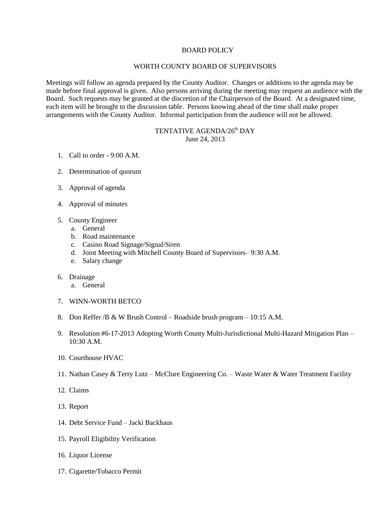## BOARD POLICY

### WORTH COUNTY BOARD OF SUPERVISORS

Meetings will follow an agenda prepared by the County Auditor. Changes or additions to the agenda may be made before final approval is given. Also persons arriving during the meeting may request an audience with the Board. Such requests may be granted at the discretion of the Chairperson of the Board. At a designated time, each item will be brought to the discussion table. Persons knowing ahead of the time shall make proper arrangements with the County Auditor. Informal participation from the audience will not be allowed.

# TENTATIVE AGENDA/26<sup>th</sup> DAY June 24, 2013

- 1. Call to order 9:00 A.M.
- 2. Determination of quorum
- 3. Approval of agenda
- 4. Approval of minutes
- 5. County Engineer
	- a. General
	- b. Road maintenance
	- c. Casino Road Signage/Signal/Siren
	- d. Joint Meeting with Mitchell County Board of Supervisors– 9:30 A.M.
	- e. Salary change
- 6. Drainage
	- a. General
- 7. WINN-WORTH BETCO
- 8. Don Reffer /B & W Brush Control Roadside brush program 10:15 A.M.
- 9. Resolution #6-17-2013 Adopting Worth County Multi-Jurisdictional Multi-Hazard Mitigation Plan 10:30 A.M.
- 10. Courthouse HVAC
- 11. Nathan Casey & Terry Lutz McClure Engineering Co. Waste Water & Water Treatment Facility
- 12. Claims
- 13. Report
- 14. Debt Service Fund Jacki Backhaus
- 15. Payroll Eligibility Verification
- 16. Liquor License
- 17. Cigarette/Tobacco Permit